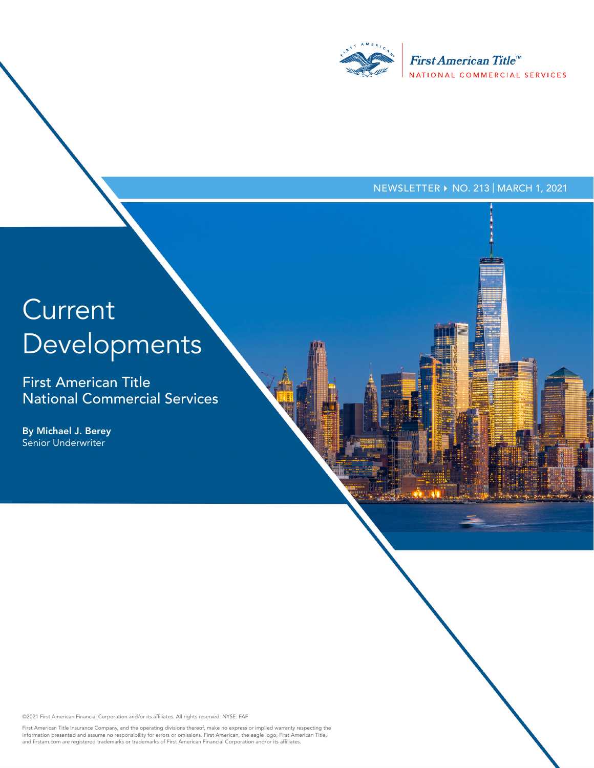

NEWSLETTER ▶ NO. 213 | MARCH 1, 2021

# **Current** Developments

First American Title National Commercial Services

By Michael J. Berey Senior Underwriter

©2021 First American Financial Corporation and/or its affiliates. All rights reserved. NYSE: FAF

First American Title Insurance Company, and the operating divisions thereof, make no express or implied warranty respecting the<br>information presented and assume no responsibility for errors or omissions. First American, th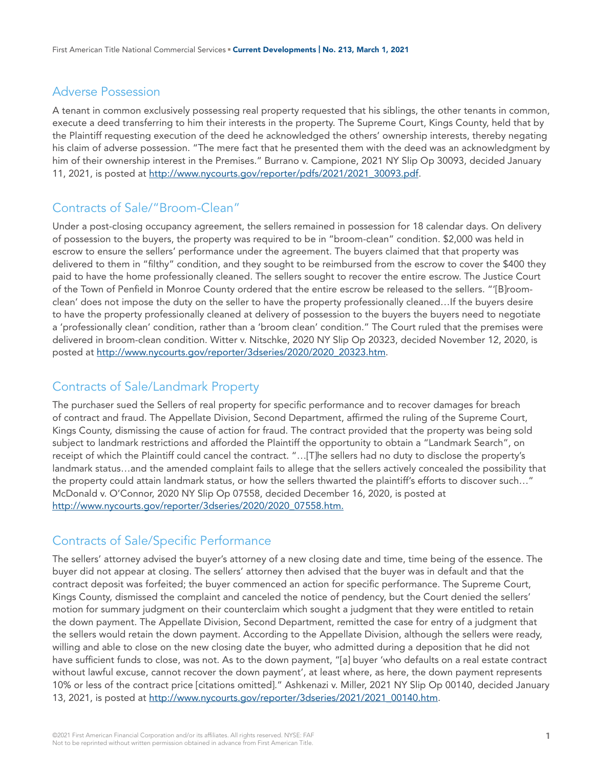#### Adverse Possession

A tenant in common exclusively possessing real property requested that his siblings, the other tenants in common, execute a deed transferring to him their interests in the property. The Supreme Court, Kings County, held that by the Plaintiff requesting execution of the deed he acknowledged the others' ownership interests, thereby negating his claim of adverse possession. "The mere fact that he presented them with the deed was an acknowledgment by him of their ownership interest in the Premises." Burrano v. Campione, 2021 NY Slip Op 30093, decided January 11, 2021, is posted at [http://www.nycourts.gov/reporter/pdfs/2021/2021\\_30093.pdf.](http://www.nycourts.gov/reporter/pdfs/2021/2021_30093.pdf)

# Contracts of Sale/"Broom-Clean"

Under a post-closing occupancy agreement, the sellers remained in possession for 18 calendar days. On delivery of possession to the buyers, the property was required to be in "broom-clean" condition. \$2,000 was held in escrow to ensure the sellers' performance under the agreement. The buyers claimed that that property was delivered to them in "filthy" condition, and they sought to be reimbursed from the escrow to cover the \$400 they paid to have the home professionally cleaned. The sellers sought to recover the entire escrow. The Justice Court of the Town of Penfield in Monroe County ordered that the entire escrow be released to the sellers. "'[B]roomclean' does not impose the duty on the seller to have the property professionally cleaned…If the buyers desire to have the property professionally cleaned at delivery of possession to the buyers the buyers need to negotiate a 'professionally clean' condition, rather than a 'broom clean' condition." The Court ruled that the premises were delivered in broom-clean condition. Witter v. Nitschke, 2020 NY Slip Op 20323, decided November 12, 2020, is posted at [http://www.nycourts.gov/reporter/3dseries/2020/2020\\_20323.htm.](http://www.nycourts.gov/reporter/3dseries/2020/2020_20323.htm)

## Contracts of Sale/Landmark Property

The purchaser sued the Sellers of real property for specific performance and to recover damages for breach of contract and fraud. The Appellate Division, Second Department, affirmed the ruling of the Supreme Court, Kings County, dismissing the cause of action for fraud. The contract provided that the property was being sold subject to landmark restrictions and afforded the Plaintiff the opportunity to obtain a "Landmark Search", on receipt of which the Plaintiff could cancel the contract. "…[T]he sellers had no duty to disclose the property's landmark status…and the amended complaint fails to allege that the sellers actively concealed the possibility that the property could attain landmark status, or how the sellers thwarted the plaintiff's efforts to discover such…" McDonald v. O'Connor, 2020 NY Slip Op 07558, decided December 16, 2020, is posted at [http://www.nycourts.gov/reporter/3dseries/2020/2020\\_07558.htm.](http://www.nycourts.gov/reporter/3dseries/2020/2020_07558.htm.)

# Contracts of Sale/Specific Performance

The sellers' attorney advised the buyer's attorney of a new closing date and time, time being of the essence. The buyer did not appear at closing. The sellers' attorney then advised that the buyer was in default and that the contract deposit was forfeited; the buyer commenced an action for specific performance. The Supreme Court, Kings County, dismissed the complaint and canceled the notice of pendency, but the Court denied the sellers' motion for summary judgment on their counterclaim which sought a judgment that they were entitled to retain the down payment. The Appellate Division, Second Department, remitted the case for entry of a judgment that the sellers would retain the down payment. According to the Appellate Division, although the sellers were ready, willing and able to close on the new closing date the buyer, who admitted during a deposition that he did not have sufficient funds to close, was not. As to the down payment, "[a] buyer 'who defaults on a real estate contract without lawful excuse, cannot recover the down payment', at least where, as here, the down payment represents 10% or less of the contract price [citations omitted]." Ashkenazi v. Miller, 2021 NY Slip Op 00140, decided January 13, 2021, is posted at [http://www.nycourts.gov/reporter/3dseries/2021/2021\\_00140.htm](http://www.nycourts.gov/reporter/3dseries/2021/2021_00140.htm).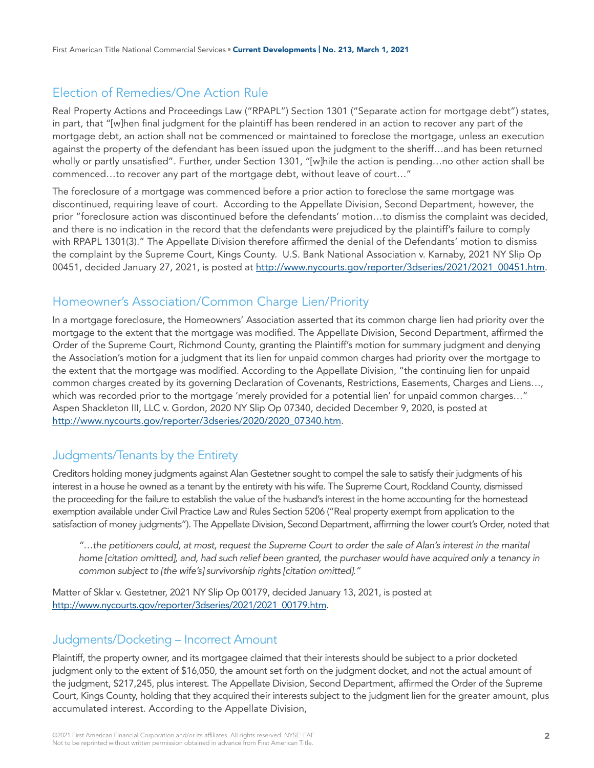# Election of Remedies/One Action Rule

Real Property Actions and Proceedings Law ("RPAPL") Section 1301 ("Separate action for mortgage debt") states, in part, that "[w]hen final judgment for the plaintiff has been rendered in an action to recover any part of the mortgage debt, an action shall not be commenced or maintained to foreclose the mortgage, unless an execution against the property of the defendant has been issued upon the judgment to the sheriff…and has been returned wholly or partly unsatisfied". Further, under Section 1301, "[w]hile the action is pending…no other action shall be commenced…to recover any part of the mortgage debt, without leave of court…"

The foreclosure of a mortgage was commenced before a prior action to foreclose the same mortgage was discontinued, requiring leave of court. According to the Appellate Division, Second Department, however, the prior "foreclosure action was discontinued before the defendants' motion…to dismiss the complaint was decided, and there is no indication in the record that the defendants were prejudiced by the plaintiff's failure to comply with RPAPL 1301(3)." The Appellate Division therefore affirmed the denial of the Defendants' motion to dismiss the complaint by the Supreme Court, Kings County. U.S. Bank National Association v. Karnaby, 2021 NY Slip Op 00451, decided January 27, 2021, is posted at [http://www.nycourts.gov/reporter/3dseries/2021/2021\\_00451.htm.](http://www.nycourts.gov/reporter/3dseries/2021/2021_00451.htm)

## Homeowner's Association/Common Charge Lien/Priority

In a mortgage foreclosure, the Homeowners' Association asserted that its common charge lien had priority over the mortgage to the extent that the mortgage was modified. The Appellate Division, Second Department, affirmed the Order of the Supreme Court, Richmond County, granting the Plaintiff's motion for summary judgment and denying the Association's motion for a judgment that its lien for unpaid common charges had priority over the mortgage to the extent that the mortgage was modified. According to the Appellate Division, "the continuing lien for unpaid common charges created by its governing Declaration of Covenants, Restrictions, Easements, Charges and Liens…, which was recorded prior to the mortgage 'merely provided for a potential lien' for unpaid common charges..." Aspen Shackleton III, LLC v. Gordon, 2020 NY Slip Op 07340, decided December 9, 2020, is posted at [http://www.nycourts.gov/reporter/3dseries/2020/2020\\_07340.htm.](http://www.nycourts.gov/reporter/3dseries/2020/2020_07340.htm)

# Judgments/Tenants by the Entirety

Creditors holding money judgments against Alan Gestetner sought to compel the sale to satisfy their judgments of his interest in a house he owned as a tenant by the entirety with his wife. The Supreme Court, Rockland County, dismissed the proceeding for the failure to establish the value of the husband's interest in the home accounting for the homestead exemption available under Civil Practice Law and Rules Section 5206 ("Real property exempt from application to the satisfaction of money judgments"). The Appellate Division, Second Department, affirming the lower court's Order, noted that

*"…the petitioners could, at most, request the Supreme Court to order the sale of Alan's interest in the marital home [citation omitted], and, had such relief been granted, the purchaser would have acquired only a tenancy in common subject to [the wife's] survivorship rights [citation omitted]."*

Matter of Sklar v. Gestetner, 2021 NY Slip Op 00179, decided January 13, 2021, is posted at [http://www.nycourts.gov/reporter/3dseries/2021/2021\\_00179.htm.](http://www.nycourts.gov/reporter/3dseries/2021/2021_00179.htm)

# Judgments/Docketing – Incorrect Amount

Plaintiff, the property owner, and its mortgagee claimed that their interests should be subject to a prior docketed judgment only to the extent of \$16,050, the amount set forth on the judgment docket, and not the actual amount of the judgment, \$217,245, plus interest. The Appellate Division, Second Department, affirmed the Order of the Supreme Court, Kings County, holding that they acquired their interests subject to the judgment lien for the greater amount, plus accumulated interest. According to the Appellate Division,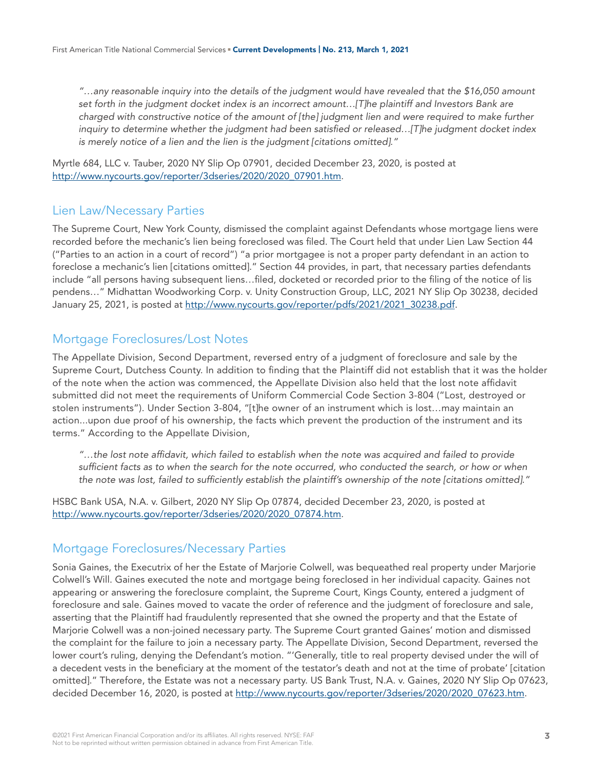*"…any reasonable inquiry into the details of the judgment would have revealed that the \$16,050 amount set forth in the judgment docket index is an incorrect amount…[T]he plaintiff and Investors Bank are charged with constructive notice of the amount of [the] judgment lien and were required to make further inquiry to determine whether the judgment had been satisfied or released…[T]he judgment docket index is merely notice of a lien and the lien is the judgment [citations omitted]."* 

Myrtle 684, LLC v. Tauber, 2020 NY Slip Op 07901, decided December 23, 2020, is posted at [http://www.nycourts.gov/reporter/3dseries/2020/2020\\_07901.htm.](http://www.nycourts.gov/reporter/3dseries/2020/2020_07901.htm)

## Lien Law/Necessary Parties

The Supreme Court, New York County, dismissed the complaint against Defendants whose mortgage liens were recorded before the mechanic's lien being foreclosed was filed. The Court held that under Lien Law Section 44 ("Parties to an action in a court of record") "a prior mortgagee is not a proper party defendant in an action to foreclose a mechanic's lien [citations omitted]." Section 44 provides, in part, that necessary parties defendants include "all persons having subsequent liens…filed, docketed or recorded prior to the filing of the notice of lis pendens…" Midhattan Woodworking Corp. v. Unity Construction Group, LLC, 2021 NY Slip Op 30238, decided January 25, 2021, is posted at [http://www.nycourts.gov/reporter/pdfs/2021/2021\\_30238.pdf](http://www.nycourts.gov/reporter/pdfs/2021/2021_30238.pdf).

## Mortgage Foreclosures/Lost Notes

The Appellate Division, Second Department, reversed entry of a judgment of foreclosure and sale by the Supreme Court, Dutchess County. In addition to finding that the Plaintiff did not establish that it was the holder of the note when the action was commenced, the Appellate Division also held that the lost note affidavit submitted did not meet the requirements of Uniform Commercial Code Section 3-804 ("Lost, destroyed or stolen instruments"). Under Section 3-804, "[t]he owner of an instrument which is lost…may maintain an action...upon due proof of his ownership, the facts which prevent the production of the instrument and its terms." According to the Appellate Division,

*"…the lost note affidavit, which failed to establish when the note was acquired and failed to provide sufficient facts as to when the search for the note occurred, who conducted the search, or how or when the note was lost, failed to sufficiently establish the plaintiff's ownership of the note [citations omitted]."* 

HSBC Bank USA, N.A. v. Gilbert, 2020 NY Slip Op 07874, decided December 23, 2020, is posted at [http://www.nycourts.gov/reporter/3dseries/2020/2020\\_07874.htm.](http://www.nycourts.gov/reporter/3dseries/2020/2020_07874.htm)

# Mortgage Foreclosures/Necessary Parties

Sonia Gaines, the Executrix of her the Estate of Marjorie Colwell, was bequeathed real property under Marjorie Colwell's Will. Gaines executed the note and mortgage being foreclosed in her individual capacity. Gaines not appearing or answering the foreclosure complaint, the Supreme Court, Kings County, entered a judgment of foreclosure and sale. Gaines moved to vacate the order of reference and the judgment of foreclosure and sale, asserting that the Plaintiff had fraudulently represented that she owned the property and that the Estate of Marjorie Colwell was a non-joined necessary party. The Supreme Court granted Gaines' motion and dismissed the complaint for the failure to join a necessary party. The Appellate Division, Second Department, reversed the lower court's ruling, denying the Defendant's motion. "'Generally, title to real property devised under the will of a decedent vests in the beneficiary at the moment of the testator's death and not at the time of probate' [citation omitted]." Therefore, the Estate was not a necessary party. US Bank Trust, N.A. v. Gaines, 2020 NY Slip Op 07623, decided December 16, 2020, is posted at [http://www.nycourts.gov/reporter/3dseries/2020/2020\\_07623.htm.](http://www.nycourts.gov/reporter/3dseries/2020/2020_07623.htm)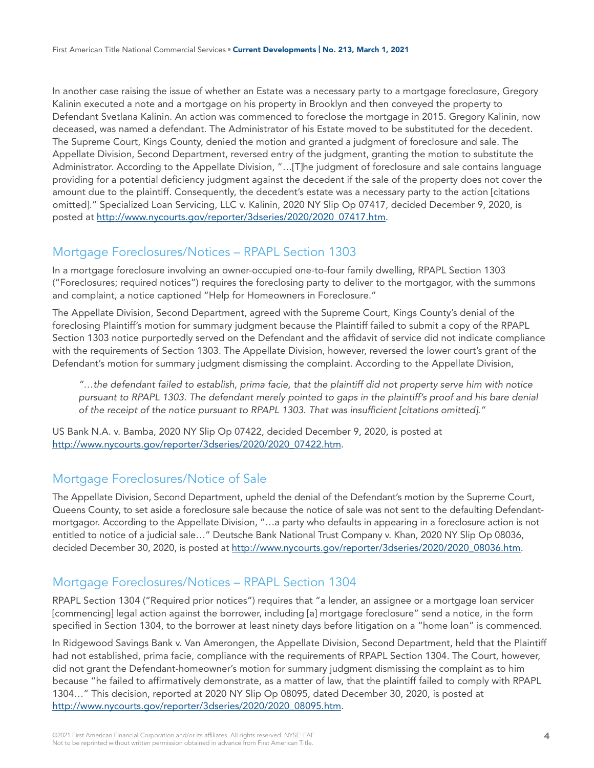In another case raising the issue of whether an Estate was a necessary party to a mortgage foreclosure, Gregory Kalinin executed a note and a mortgage on his property in Brooklyn and then conveyed the property to Defendant Svetlana Kalinin. An action was commenced to foreclose the mortgage in 2015. Gregory Kalinin, now deceased, was named a defendant. The Administrator of his Estate moved to be substituted for the decedent. The Supreme Court, Kings County, denied the motion and granted a judgment of foreclosure and sale. The Appellate Division, Second Department, reversed entry of the judgment, granting the motion to substitute the Administrator. According to the Appellate Division, "…[T]he judgment of foreclosure and sale contains language providing for a potential deficiency judgment against the decedent if the sale of the property does not cover the amount due to the plaintiff. Consequently, the decedent's estate was a necessary party to the action [citations omitted]." Specialized Loan Servicing, LLC v. Kalinin, 2020 NY Slip Op 07417, decided December 9, 2020, is posted at [http://www.nycourts.gov/reporter/3dseries/2020/2020\\_07417.htm.](http://www.nycourts.gov/reporter/3dseries/2020/2020_07417.htm)

# Mortgage Foreclosures/Notices – RPAPL Section 1303

In a mortgage foreclosure involving an owner-occupied one-to-four family dwelling, RPAPL Section 1303 ("Foreclosures; required notices") requires the foreclosing party to deliver to the mortgagor, with the summons and complaint, a notice captioned "Help for Homeowners in Foreclosure."

The Appellate Division, Second Department, agreed with the Supreme Court, Kings County's denial of the foreclosing Plaintiff's motion for summary judgment because the Plaintiff failed to submit a copy of the RPAPL Section 1303 notice purportedly served on the Defendant and the affidavit of service did not indicate compliance with the requirements of Section 1303. The Appellate Division, however, reversed the lower court's grant of the Defendant's motion for summary judgment dismissing the complaint. According to the Appellate Division,

*"…the defendant failed to establish, prima facie, that the plaintiff did not property serve him with notice pursuant to RPAPL 1303. The defendant merely pointed to gaps in the plaintiff's proof and his bare denial of the receipt of the notice pursuant to RPAPL 1303. That was insufficient [citations omitted]."*

US Bank N.A. v. Bamba, 2020 NY Slip Op 07422, decided December 9, 2020, is posted at [http://www.nycourts.gov/reporter/3dseries/2020/2020\\_07422.htm.](http://www.nycourts.gov/reporter/3dseries/2020/2020_07422.htm)

# Mortgage Foreclosures/Notice of Sale

The Appellate Division, Second Department, upheld the denial of the Defendant's motion by the Supreme Court, Queens County, to set aside a foreclosure sale because the notice of sale was not sent to the defaulting Defendantmortgagor. According to the Appellate Division, "…a party who defaults in appearing in a foreclosure action is not entitled to notice of a judicial sale…" Deutsche Bank National Trust Company v. Khan, 2020 NY Slip Op 08036, decided December 30, 2020, is posted at [http://www.nycourts.gov/reporter/3dseries/2020/2020\\_08036.htm.](http://www.nycourts.gov/reporter/3dseries/2020/2020_08036.htm)

# Mortgage Foreclosures/Notices – RPAPL Section 1304

RPAPL Section 1304 ("Required prior notices") requires that "a lender, an assignee or a mortgage loan servicer [commencing] legal action against the borrower, including [a] mortgage foreclosure" send a notice, in the form specified in Section 1304, to the borrower at least ninety days before litigation on a "home loan" is commenced.

In Ridgewood Savings Bank v. Van Amerongen, the Appellate Division, Second Department, held that the Plaintiff had not established, prima facie, compliance with the requirements of RPAPL Section 1304. The Court, however, did not grant the Defendant-homeowner's motion for summary judgment dismissing the complaint as to him because "he failed to affirmatively demonstrate, as a matter of law, that the plaintiff failed to comply with RPAPL 1304…" This decision, reported at 2020 NY Slip Op 08095, dated December 30, 2020, is posted at [http://www.nycourts.gov/reporter/3dseries/2020/2020\\_08095.htm.](http://www.nycourts.gov/reporter/3dseries/2020/2020_08095.htm)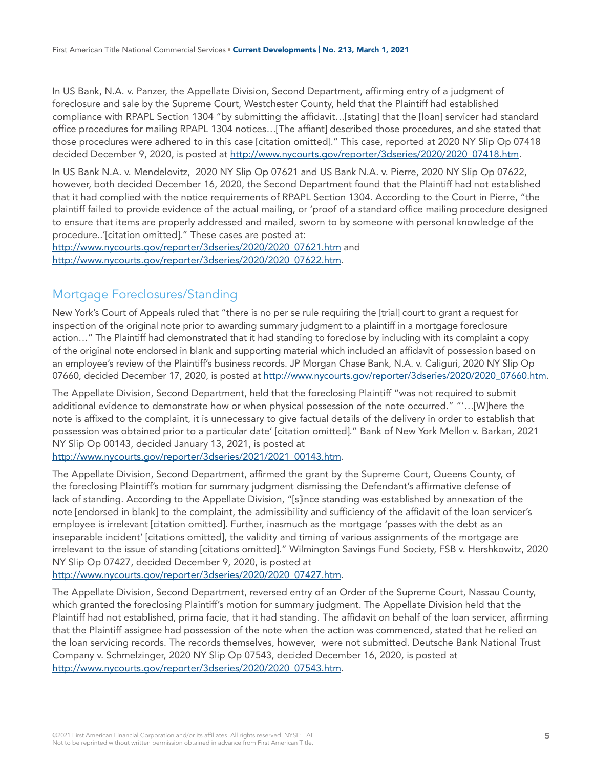In US Bank, N.A. v. Panzer, the Appellate Division, Second Department, affirming entry of a judgment of foreclosure and sale by the Supreme Court, Westchester County, held that the Plaintiff had established compliance with RPAPL Section 1304 "by submitting the affidavit…[stating] that the [loan] servicer had standard office procedures for mailing RPAPL 1304 notices…[The affiant] described those procedures, and she stated that those procedures were adhered to in this case [citation omitted]." This case, reported at 2020 NY Slip Op 07418 decided December 9, 2020, is posted at [http://www.nycourts.gov/reporter/3dseries/2020/2020\\_07418.htm](http://www.nycourts.gov/reporter/3dseries/2020/2020_07418.htm).

In US Bank N.A. v. Mendelovitz, 2020 NY Slip Op 07621 and US Bank N.A. v. Pierre, 2020 NY Slip Op 07622, however, both decided December 16, 2020, the Second Department found that the Plaintiff had not established that it had complied with the notice requirements of RPAPL Section 1304. According to the Court in Pierre, "the plaintiff failed to provide evidence of the actual mailing, or 'proof of a standard office mailing procedure designed to ensure that items are properly addressed and mailed, sworn to by someone with personal knowledge of the procedure..'[citation omitted]." These cases are posted at:

[http://www.nycourts.gov/reporter/3dseries/2020/2020\\_07621.htm](http://www.nycourts.gov/reporter/3dseries/2020/2020_07621.htm) and [http://www.nycourts.gov/reporter/3dseries/2020/2020\\_07622.htm.](http://www.nycourts.gov/reporter/3dseries/2020/2020_07622.htm)

# Mortgage Foreclosures/Standing

New York's Court of Appeals ruled that "there is no per se rule requiring the [trial] court to grant a request for inspection of the original note prior to awarding summary judgment to a plaintiff in a mortgage foreclosure action…" The Plaintiff had demonstrated that it had standing to foreclose by including with its complaint a copy of the original note endorsed in blank and supporting material which included an affidavit of possession based on an employee's review of the Plaintiff's business records. JP Morgan Chase Bank, N.A. v. Caliguri, 2020 NY Slip Op 07660, decided December 17, 2020, is posted at [http://www.nycourts.gov/reporter/3dseries/2020/2020\\_07660.htm](http://www.nycourts.gov/reporter/3dseries/2020/2020_07660.htm).

The Appellate Division, Second Department, held that the foreclosing Plaintiff "was not required to submit additional evidence to demonstrate how or when physical possession of the note occurred." "'…[W]here the note is affixed to the complaint, it is unnecessary to give factual details of the delivery in order to establish that possession was obtained prior to a particular date' [citation omitted]." Bank of New York Mellon v. Barkan, 2021 NY Slip Op 00143, decided January 13, 2021, is posted at

[http://www.nycourts.gov/reporter/3dseries/2021/2021\\_00143.htm.](http://www.nycourts.gov/reporter/3dseries/2021/2021_00143.htm)

The Appellate Division, Second Department, affirmed the grant by the Supreme Court, Queens County, of the foreclosing Plaintiff's motion for summary judgment dismissing the Defendant's affirmative defense of lack of standing. According to the Appellate Division, "[s]ince standing was established by annexation of the note [endorsed in blank] to the complaint, the admissibility and sufficiency of the affidavit of the loan servicer's employee is irrelevant [citation omitted]. Further, inasmuch as the mortgage 'passes with the debt as an inseparable incident' [citations omitted], the validity and timing of various assignments of the mortgage are irrelevant to the issue of standing [citations omitted]." Wilmington Savings Fund Society, FSB v. Hershkowitz, 2020 NY Slip Op 07427, decided December 9, 2020, is posted at

[http://www.nycourts.gov/reporter/3dseries/2020/2020\\_07427.htm.](http://www.nycourts.gov/reporter/3dseries/2020/2020_07427.htm)

The Appellate Division, Second Department, reversed entry of an Order of the Supreme Court, Nassau County, which granted the foreclosing Plaintiff's motion for summary judgment. The Appellate Division held that the Plaintiff had not established, prima facie, that it had standing. The affidavit on behalf of the loan servicer, affirming that the Plaintiff assignee had possession of the note when the action was commenced, stated that he relied on the loan servicing records. The records themselves, however, were not submitted. Deutsche Bank National Trust Company v. Schmelzinger, 2020 NY Slip Op 07543, decided December 16, 2020, is posted at [http://www.nycourts.gov/reporter/3dseries/2020/2020\\_07543.htm.](http://www.nycourts.gov/reporter/3dseries/2020/2020_07543.htm)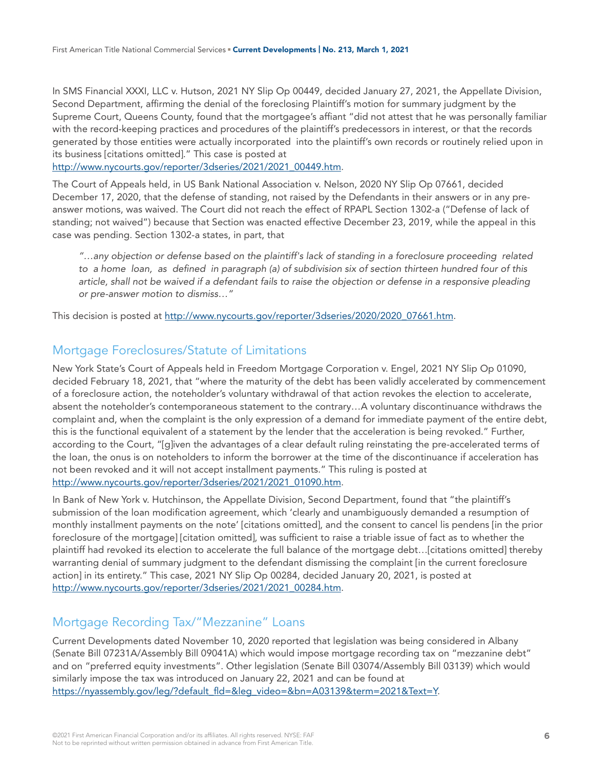In SMS Financial XXXI, LLC v. Hutson, 2021 NY Slip Op 00449, decided January 27, 2021, the Appellate Division, Second Department, affirming the denial of the foreclosing Plaintiff's motion for summary judgment by the Supreme Court, Queens County, found that the mortgagee's affiant "did not attest that he was personally familiar with the record-keeping practices and procedures of the plaintiff's predecessors in interest, or that the records generated by those entities were actually incorporated into the plaintiff's own records or routinely relied upon in its business [citations omitted]." This case is posted at

[http://www.nycourts.gov/reporter/3dseries/2021/2021\\_00449.htm.](http://www.nycourts.gov/reporter/3dseries/2021/2021_00449.htm)

The Court of Appeals held, in US Bank National Association v. Nelson, 2020 NY Slip Op 07661, decided December 17, 2020, that the defense of standing, not raised by the Defendants in their answers or in any preanswer motions, was waived. The Court did not reach the effect of RPAPL Section 1302-a ("Defense of lack of standing; not waived") because that Section was enacted effective December 23, 2019, while the appeal in this case was pending. Section 1302-a states, in part, that

*"…any objection or defense based on the plaintiff's lack of standing in a foreclosure proceeding related to a home loan, as defined in paragraph (a) of subdivision six of section thirteen hundred four of this article, shall not be waived if a defendant fails to raise the objection or defense in a responsive pleading or pre-answer motion to dismiss…"* 

This decision is posted at [http://www.nycourts.gov/reporter/3dseries/2020/2020\\_07661.htm.](http://www.nycourts.gov/reporter/3dseries/2020/2020_07661.htm)

## Mortgage Foreclosures/Statute of Limitations

New York State's Court of Appeals held in Freedom Mortgage Corporation v. Engel, 2021 NY Slip Op 01090, decided February 18, 2021, that "where the maturity of the debt has been validly accelerated by commencement of a foreclosure action, the noteholder's voluntary withdrawal of that action revokes the election to accelerate, absent the noteholder's contemporaneous statement to the contrary…A voluntary discontinuance withdraws the complaint and, when the complaint is the only expression of a demand for immediate payment of the entire debt, this is the functional equivalent of a statement by the lender that the acceleration is being revoked." Further, according to the Court, "[g]iven the advantages of a clear default ruling reinstating the pre-accelerated terms of the loan, the onus is on noteholders to inform the borrower at the time of the discontinuance if acceleration has not been revoked and it will not accept installment payments." This ruling is posted at [http://www.nycourts.gov/reporter/3dseries/2021/2021\\_01090.htm.](http://www.nycourts.gov/reporter/3dseries/2021/2021_01090.htm)

In Bank of New York v. Hutchinson, the Appellate Division, Second Department, found that "the plaintiff's submission of the loan modification agreement, which 'clearly and unambiguously demanded a resumption of monthly installment payments on the note' [citations omitted], and the consent to cancel lis pendens [in the prior foreclosure of the mortgage] [citation omitted], was sufficient to raise a triable issue of fact as to whether the plaintiff had revoked its election to accelerate the full balance of the mortgage debt…[citations omitted] thereby warranting denial of summary judgment to the defendant dismissing the complaint [in the current foreclosure action] in its entirety." This case, 2021 NY Slip Op 00284, decided January 20, 2021, is posted at [http://www.nycourts.gov/reporter/3dseries/2021/2021\\_00284.htm.](http://www.nycourts.gov/reporter/3dseries/2021/2021_00284.htm)

#### Mortgage Recording Tax/"Mezzanine" Loans

Current Developments dated November 10, 2020 reported that legislation was being considered in Albany (Senate Bill 07231A/Assembly Bill 09041A) which would impose mortgage recording tax on "mezzanine debt" and on "preferred equity investments". Other legislation (Senate Bill 03074/Assembly Bill 03139) which would similarly impose the tax was introduced on January 22, 2021 and can be found at [https://nyassembly.gov/leg/?default\\_fld=&leg\\_video=&bn=A03139&term=2021&Text=Y](https://nyassembly.gov/leg/?default_fld=&leg_video=&bn=A03139&term=2021&Text=Y).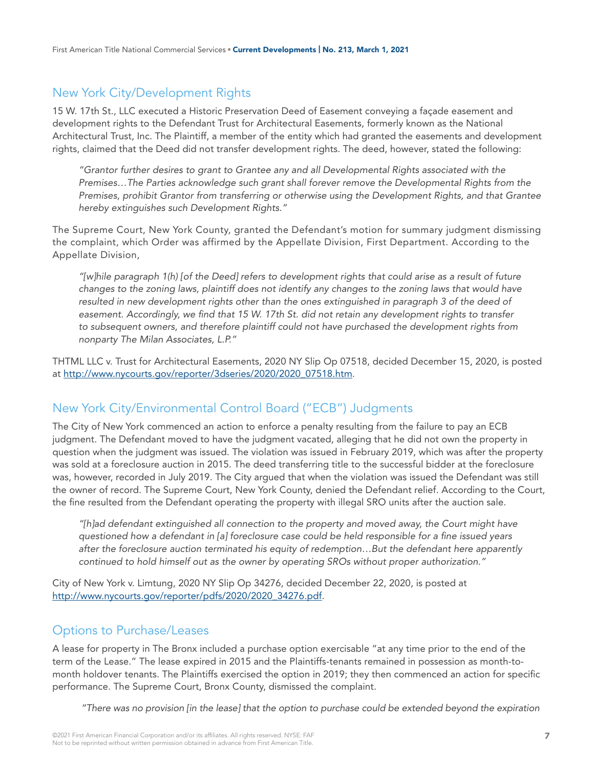## New York City/Development Rights

15 W. 17th St., LLC executed a Historic Preservation Deed of Easement conveying a façade easement and development rights to the Defendant Trust for Architectural Easements, formerly known as the National Architectural Trust, Inc. The Plaintiff, a member of the entity which had granted the easements and development rights, claimed that the Deed did not transfer development rights. The deed, however, stated the following:

*"Grantor further desires to grant to Grantee any and all Developmental Rights associated with the Premises…The Parties acknowledge such grant shall forever remove the Developmental Rights from the Premises, prohibit Grantor from transferring or otherwise using the Development Rights, and that Grantee hereby extinguishes such Development Rights."*

The Supreme Court, New York County, granted the Defendant's motion for summary judgment dismissing the complaint, which Order was affirmed by the Appellate Division, First Department. According to the Appellate Division,

*"[w]hile paragraph 1(h) [of the Deed] refers to development rights that could arise as a result of future changes to the zoning laws, plaintiff does not identify any changes to the zoning laws that would have resulted in new development rights other than the ones extinguished in paragraph 3 of the deed of easement. Accordingly, we find that 15 W. 17th St. did not retain any development rights to transfer to subsequent owners, and therefore plaintiff could not have purchased the development rights from nonparty The Milan Associates, L.P."*

THTML LLC v. Trust for Architectural Easements, 2020 NY Slip Op 07518, decided December 15, 2020, is posted at [http://www.nycourts.gov/reporter/3dseries/2020/2020\\_07518.htm](http://www.nycourts.gov/reporter/3dseries/2020/2020_07518.htm).

# New York City/Environmental Control Board ("ECB") Judgments

The City of New York commenced an action to enforce a penalty resulting from the failure to pay an ECB judgment. The Defendant moved to have the judgment vacated, alleging that he did not own the property in question when the judgment was issued. The violation was issued in February 2019, which was after the property was sold at a foreclosure auction in 2015. The deed transferring title to the successful bidder at the foreclosure was, however, recorded in July 2019. The City argued that when the violation was issued the Defendant was still the owner of record. The Supreme Court, New York County, denied the Defendant relief. According to the Court, the fine resulted from the Defendant operating the property with illegal SRO units after the auction sale.

*"[h]ad defendant extinguished all connection to the property and moved away, the Court might have questioned how a defendant in [a] foreclosure case could be held responsible for a fine issued years after the foreclosure auction terminated his equity of redemption…But the defendant here apparently continued to hold himself out as the owner by operating SROs without proper authorization."*

City of New York v. Limtung, 2020 NY Slip Op 34276, decided December 22, 2020, is posted at [http://www.nycourts.gov/reporter/pdfs/2020/2020\\_34276.pdf.](http://www.nycourts.gov/reporter/pdfs/2020/2020_34276.pdf)

# Options to Purchase/Leases

A lease for property in The Bronx included a purchase option exercisable "at any time prior to the end of the term of the Lease." The lease expired in 2015 and the Plaintiffs-tenants remained in possession as month-tomonth holdover tenants. The Plaintiffs exercised the option in 2019; they then commenced an action for specific performance. The Supreme Court, Bronx County, dismissed the complaint.

 *"There was no provision [in the lease] that the option to purchase could be extended beyond the expiration*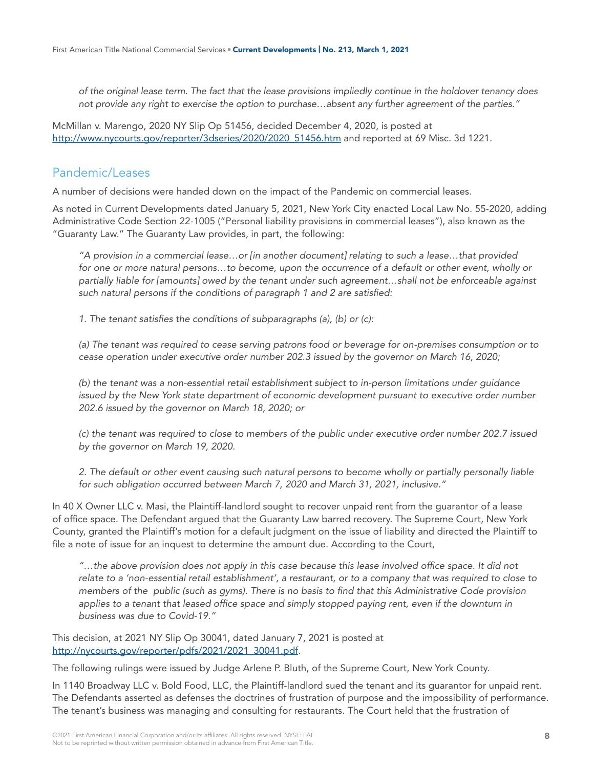*of the original lease term. The fact that the lease provisions impliedly continue in the holdover tenancy does not provide any right to exercise the option to purchase…absent any further agreement of the parties."* 

McMillan v. Marengo, 2020 NY Slip Op 51456, decided December 4, 2020, is posted at [http://www.nycourts.gov/reporter/3dseries/2020/2020\\_51456.htm](http://www.nycourts.gov/reporter/3dseries/2020/2020_51456.htm) and reported at 69 Misc. 3d 1221.

## Pandemic/Leases

A number of decisions were handed down on the impact of the Pandemic on commercial leases.

As noted in Current Developments dated January 5, 2021, New York City enacted Local Law No. 55-2020, adding Administrative Code Section 22-1005 ("Personal liability provisions in commercial leases"), also known as the "Guaranty Law." The Guaranty Law provides, in part, the following:

*"A provision in a commercial lease…or [in another document] relating to such a lease…that provided for one or more natural persons…to become, upon the occurrence of a default or other event, wholly or partially liable for [amounts] owed by the tenant under such agreement…shall not be enforceable against such natural persons if the conditions of paragraph 1 and 2 are satisfied:*

*1. The tenant satisfies the conditions of subparagraphs (a), (b) or (c):*

*(a) The tenant was required to cease serving patrons food or beverage for on-premises consumption or to cease operation under executive order number 202.3 issued by the governor on March 16, 2020;*

*(b) the tenant was a non-essential retail establishment subject to in-person limitations under guidance issued by the New York state department of economic development pursuant to executive order number 202.6 issued by the governor on March 18, 2020; or* 

*(c) the tenant was required to close to members of the public under executive order number 202.7 issued by the governor on March 19, 2020.*

*2. The default or other event causing such natural persons to become wholly or partially personally liable for such obligation occurred between March 7, 2020 and March 31, 2021, inclusive."*

In 40 X Owner LLC v. Masi, the Plaintiff-landlord sought to recover unpaid rent from the guarantor of a lease of office space. The Defendant argued that the Guaranty Law barred recovery. The Supreme Court, New York County, granted the Plaintiff's motion for a default judgment on the issue of liability and directed the Plaintiff to file a note of issue for an inquest to determine the amount due. According to the Court,

*"…the above provision does not apply in this case because this lease involved office space. It did not relate to a 'non-essential retail establishment', a restaurant, or to a company that was required to close to members of the public (such as gyms). There is no basis to find that this Administrative Code provision applies to a tenant that leased office space and simply stopped paying rent, even if the downturn in business was due to Covid-19."*

This decision, at 2021 NY Slip Op 30041, dated January 7, 2021 is posted at [http://nycourts.gov/reporter/pdfs/2021/2021\\_30041.pdf](http://nycourts.gov/reporter/pdfs/2021/2021_30041.pdf).

The following rulings were issued by Judge Arlene P. Bluth, of the Supreme Court, New York County.

In 1140 Broadway LLC v. Bold Food, LLC, the Plaintiff-landlord sued the tenant and its guarantor for unpaid rent. The Defendants asserted as defenses the doctrines of frustration of purpose and the impossibility of performance. The tenant's business was managing and consulting for restaurants. The Court held that the frustration of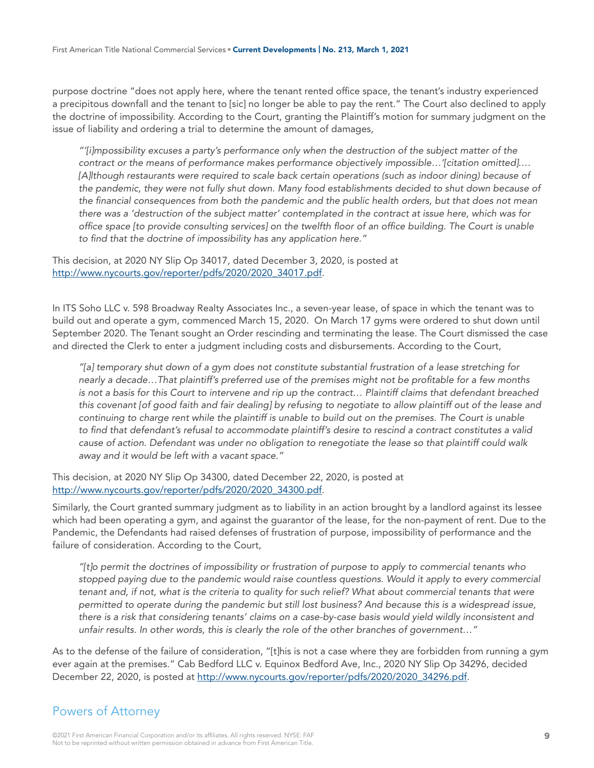purpose doctrine "does not apply here, where the tenant rented office space, the tenant's industry experienced a precipitous downfall and the tenant to [sic] no longer be able to pay the rent." The Court also declined to apply the doctrine of impossibility. According to the Court, granting the Plaintiff's motion for summary judgment on the issue of liability and ordering a trial to determine the amount of damages,

*"'[i]mpossibility excuses a party's performance only when the destruction of the subject matter of the contract or the means of performance makes performance objectively impossible…'[citation omitted].… [A]lthough restaurants were required to scale back certain operations (such as indoor dining) because of the pandemic, they were not fully shut down. Many food establishments decided to shut down because of the financial consequences from both the pandemic and the public health orders, but that does not mean there was a 'destruction of the subject matter' contemplated in the contract at issue here, which was for office space [to provide consulting services] on the twelfth floor of an office building. The Court is unable to find that the doctrine of impossibility has any application here."*

This decision, at 2020 NY Slip Op 34017, dated December 3, 2020, is posted at [http://www.nycourts.gov/reporter/pdfs/2020/2020\\_34017.pdf.](http://www.nycourts.gov/reporter/pdfs/2020/2020_34017.pdf)

In ITS Soho LLC v. 598 Broadway Realty Associates Inc., a seven-year lease, of space in which the tenant was to build out and operate a gym, commenced March 15, 2020. On March 17 gyms were ordered to shut down until September 2020. The Tenant sought an Order rescinding and terminating the lease. The Court dismissed the case and directed the Clerk to enter a judgment including costs and disbursements. According to the Court,

*"[a] temporary shut down of a gym does not constitute substantial frustration of a lease stretching for nearly a decade…That plaintiff's preferred use of the premises might not be profitable for a few months is not a basis for this Court to intervene and rip up the contract… Plaintiff claims that defendant breached this covenant [of good faith and fair dealing] by refusing to negotiate to allow plaintiff out of the lease and continuing to charge rent while the plaintiff is unable to build out on the premises. The Court is unable to find that defendant's refusal to accommodate plaintiff's desire to rescind a contract constitutes a valid cause of action. Defendant was under no obligation to renegotiate the lease so that plaintiff could walk away and it would be left with a vacant space."* 

This decision, at 2020 NY Slip Op 34300, dated December 22, 2020, is posted at [http://www.nycourts.gov/reporter/pdfs/2020/2020\\_34300.pdf.](http://www.nycourts.gov/reporter/pdfs/2020/2020_34300.pdf)

Similarly, the Court granted summary judgment as to liability in an action brought by a landlord against its lessee which had been operating a gym, and against the guarantor of the lease, for the non-payment of rent. Due to the Pandemic, the Defendants had raised defenses of frustration of purpose, impossibility of performance and the failure of consideration. According to the Court,

*"[t]o permit the doctrines of impossibility or frustration of purpose to apply to commercial tenants who stopped paying due to the pandemic would raise countless questions. Would it apply to every commercial tenant and, if not, what is the criteria to quality for such relief? What about commercial tenants that were permitted to operate during the pandemic but still lost business? And because this is a widespread issue, there is a risk that considering tenants' claims on a case-by-case basis would yield wildly inconsistent and unfair results. In other words, this is clearly the role of the other branches of government…"*

As to the defense of the failure of consideration, "[t]his is not a case where they are forbidden from running a gym ever again at the premises." Cab Bedford LLC v. Equinox Bedford Ave, Inc., 2020 NY Slip Op 34296, decided December 22, 2020, is posted at [http://www.nycourts.gov/reporter/pdfs/2020/2020\\_34296.pdf](http://www.nycourts.gov/reporter/pdfs/2020/2020_34296.pdf).

#### Powers of Attorney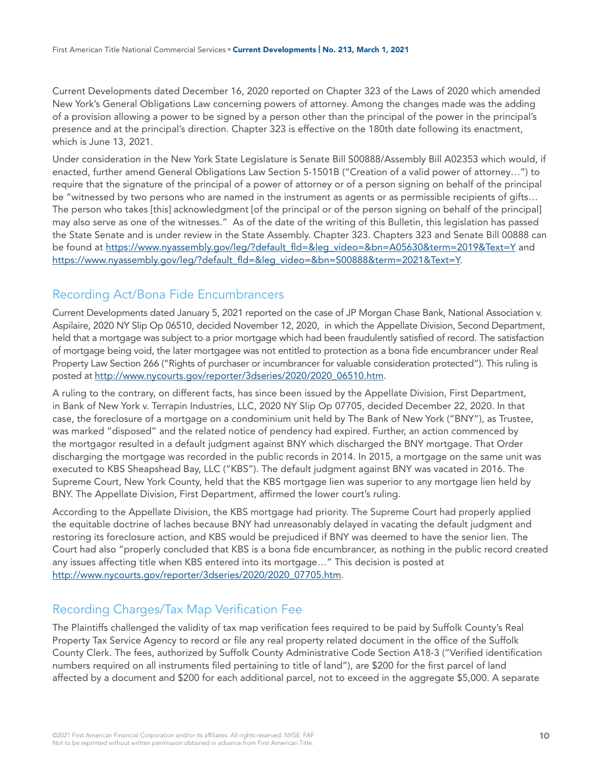Current Developments dated December 16, 2020 reported on Chapter 323 of the Laws of 2020 which amended New York's General Obligations Law concerning powers of attorney. Among the changes made was the adding of a provision allowing a power to be signed by a person other than the principal of the power in the principal's presence and at the principal's direction. Chapter 323 is effective on the 180th date following its enactment, which is June 13, 2021.

Under consideration in the New York State Legislature is Senate Bill S00888/Assembly Bill A02353 which would, if enacted, further amend General Obligations Law Section 5-1501B ("Creation of a valid power of attorney…") to require that the signature of the principal of a power of attorney or of a person signing on behalf of the principal be "witnessed by two persons who are named in the instrument as agents or as permissible recipients of gifts… The person who takes [this] acknowledgment [of the principal or of the person signing on behalf of the principal] may also serve as one of the witnesses." As of the date of the writing of this Bulletin, this legislation has passed the State Senate and is under review in the State Assembly. Chapter 323. Chapters 323 and Senate Bill 00888 can be found at [https://www.nyassembly.gov/leg/?default\\_fld=&leg\\_video=&bn=A05630&term=2019&Text=Y](https://www.nyassembly.gov/leg/?default_fld=&leg_video=&bn=A05630&term=2019&Text=Y) and [https://www.nyassembly.gov/leg/?default\\_fld=&leg\\_video=&bn=S00888&term=2021&Text=Y](https://www.nyassembly.gov/leg/?default_fld=&leg_video=&bn=S00888&term=2021&Text=Y).

# Recording Act/Bona Fide Encumbrancers

Current Developments dated January 5, 2021 reported on the case of JP Morgan Chase Bank, National Association v. Aspilaire, 2020 NY Slip Op 06510, decided November 12, 2020, in which the Appellate Division, Second Department, held that a mortgage was subject to a prior mortgage which had been fraudulently satisfied of record. The satisfaction of mortgage being void, the later mortgagee was not entitled to protection as a bona fide encumbrancer under Real Property Law Section 266 ("Rights of purchaser or incumbrancer for valuable consideration protected"). This ruling is posted at [http://www.nycourts.gov/reporter/3dseries/2020/2020\\_06510.htm.](http://www.nycourts.gov/reporter/3dseries/2020/2020_06510.htm)

A ruling to the contrary, on different facts, has since been issued by the Appellate Division, First Department, in Bank of New York v. Terrapin Industries, LLC, 2020 NY Slip Op 07705, decided December 22, 2020. In that case, the foreclosure of a mortgage on a condominium unit held by The Bank of New York ("BNY"), as Trustee, was marked "disposed" and the related notice of pendency had expired. Further, an action commenced by the mortgagor resulted in a default judgment against BNY which discharged the BNY mortgage. That Order discharging the mortgage was recorded in the public records in 2014. In 2015, a mortgage on the same unit was executed to KBS Sheapshead Bay, LLC ("KBS"). The default judgment against BNY was vacated in 2016. The Supreme Court, New York County, held that the KBS mortgage lien was superior to any mortgage lien held by BNY. The Appellate Division, First Department, affirmed the lower court's ruling.

According to the Appellate Division, the KBS mortgage had priority. The Supreme Court had properly applied the equitable doctrine of laches because BNY had unreasonably delayed in vacating the default judgment and restoring its foreclosure action, and KBS would be prejudiced if BNY was deemed to have the senior lien. The Court had also "properly concluded that KBS is a bona fide encumbrancer, as nothing in the public record created any issues affecting title when KBS entered into its mortgage…" This decision is posted at [http://www.nycourts.gov/reporter/3dseries/2020/2020\\_07705.htm.](http://www.nycourts.gov/reporter/3dseries/2020/2020_07705.htm)

# Recording Charges/Tax Map Verification Fee

The Plaintiffs challenged the validity of tax map verification fees required to be paid by Suffolk County's Real Property Tax Service Agency to record or file any real property related document in the office of the Suffolk County Clerk. The fees, authorized by Suffolk County Administrative Code Section A18-3 ("Verified identification numbers required on all instruments filed pertaining to title of land"), are \$200 for the first parcel of land affected by a document and \$200 for each additional parcel, not to exceed in the aggregate \$5,000. A separate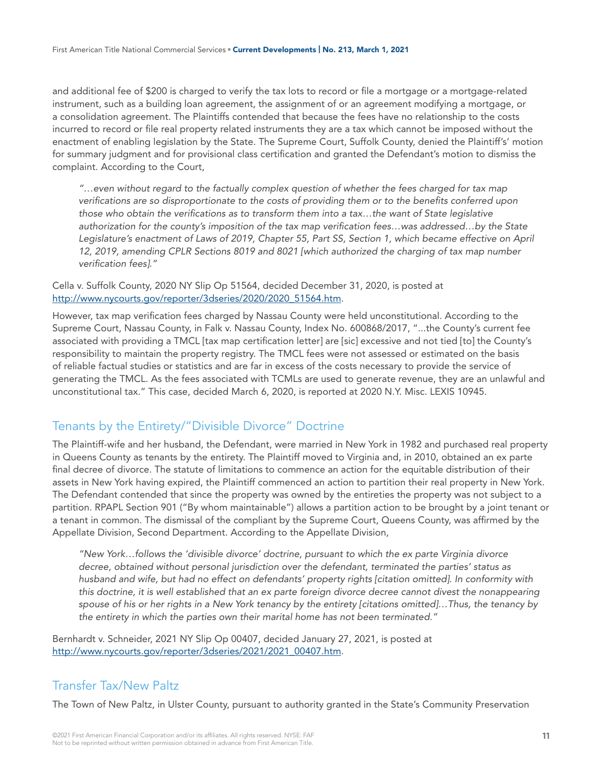and additional fee of \$200 is charged to verify the tax lots to record or file a mortgage or a mortgage-related instrument, such as a building loan agreement, the assignment of or an agreement modifying a mortgage, or a consolidation agreement. The Plaintiffs contended that because the fees have no relationship to the costs incurred to record or file real property related instruments they are a tax which cannot be imposed without the enactment of enabling legislation by the State. The Supreme Court, Suffolk County, denied the Plaintiff's' motion for summary judgment and for provisional class certification and granted the Defendant's motion to dismiss the complaint. According to the Court,

*"…even without regard to the factually complex question of whether the fees charged for tax map verifications are so disproportionate to the costs of providing them or to the benefits conferred upon those who obtain the verifications as to transform them into a tax…the want of State legislative authorization for the county's imposition of the tax map verification fees…was addressed…by the State Legislature's enactment of Laws of 2019, Chapter 55, Part SS, Section 1, which became effective on April 12, 2019, amending CPLR Sections 8019 and 8021 [which authorized the charging of tax map number verification fees]."* 

Cella v. Suffolk County, 2020 NY Slip Op 51564, decided December 31, 2020, is posted at [http://www.nycourts.gov/reporter/3dseries/2020/2020\\_51564.htm.](http://www.nycourts.gov/reporter/3dseries/2020/2020_51564.htm)

However, tax map verification fees charged by Nassau County were held unconstitutional. According to the Supreme Court, Nassau County, in Falk v. Nassau County, Index No. 600868/2017, "...the County's current fee associated with providing a TMCL [tax map certification letter] are [sic] excessive and not tied [to] the County's responsibility to maintain the property registry. The TMCL fees were not assessed or estimated on the basis of reliable factual studies or statistics and are far in excess of the costs necessary to provide the service of generating the TMCL. As the fees associated with TCMLs are used to generate revenue, they are an unlawful and unconstitutional tax." This case, decided March 6, 2020, is reported at 2020 N.Y. Misc. LEXIS 10945.

#### Tenants by the Entirety/"Divisible Divorce" Doctrine

The Plaintiff-wife and her husband, the Defendant, were married in New York in 1982 and purchased real property in Queens County as tenants by the entirety. The Plaintiff moved to Virginia and, in 2010, obtained an ex parte final decree of divorce. The statute of limitations to commence an action for the equitable distribution of their assets in New York having expired, the Plaintiff commenced an action to partition their real property in New York. The Defendant contended that since the property was owned by the entireties the property was not subject to a partition. RPAPL Section 901 ("By whom maintainable") allows a partition action to be brought by a joint tenant or a tenant in common. The dismissal of the compliant by the Supreme Court, Queens County, was affirmed by the Appellate Division, Second Department. According to the Appellate Division,

*"New York…follows the 'divisible divorce' doctrine, pursuant to which the ex parte Virginia divorce decree, obtained without personal jurisdiction over the defendant, terminated the parties' status as husband and wife, but had no effect on defendants' property rights [citation omitted]. In conformity with this doctrine, it is well established that an ex parte foreign divorce decree cannot divest the nonappearing spouse of his or her rights in a New York tenancy by the entirety [citations omitted]…Thus, the tenancy by the entirety in which the parties own their marital home has not been terminated."*

Bernhardt v. Schneider, 2021 NY Slip Op 00407, decided January 27, 2021, is posted at [http://www.nycourts.gov/reporter/3dseries/2021/2021\\_00407.htm.](http://www.nycourts.gov/reporter/3dseries/2021/2021_00407.htm)

#### Transfer Tax/New Paltz

The Town of New Paltz, in Ulster County, pursuant to authority granted in the State's Community Preservation